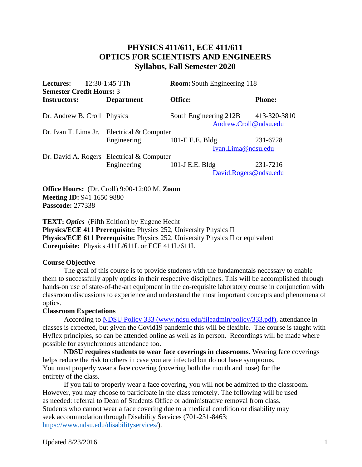# **PHYSICS 411/611, ECE 411/611 OPTICS FOR SCIENTISTS AND ENGINEERS Syllabus, Fall Semester 2020**

| <b>Lectures:</b><br><b>Semester Credit Hours: 3</b> | $12:30-1:45$ TTh                             | <b>Room:</b> South Engineering 118 |                                       |
|-----------------------------------------------------|----------------------------------------------|------------------------------------|---------------------------------------|
| <b>Instructors:</b>                                 | <b>Department</b>                            | Office:                            | <b>Phone:</b>                         |
| Dr. Andrew B. Croll Physics                         |                                              | South Engineering 212B             | 413-320-3810<br>Andrew.Croll@ndsu.edu |
|                                                     | Dr. Ivan T. Lima Jr. Electrical $&$ Computer |                                    |                                       |
|                                                     | Engineering                                  | 101-E E.E. Bldg                    | 231-6728                              |
|                                                     |                                              | Ivan.Lima@ndsu.edu                 |                                       |
|                                                     | Dr. David A. Rogers Electrical $&$ Computer  |                                    |                                       |
|                                                     | Engineering                                  | 101-J E.E. Bldg                    | 231-7216                              |
|                                                     |                                              |                                    | David.Rogers@ndsu.edu                 |
|                                                     |                                              |                                    |                                       |

**Office Hours:** (Dr. Croll) 9:00-12:00 M, **Zoom Meeting ID:** 941 1650 9880 **Passcode:** 277338

**TEXT:** *Optics* (Fifth Edition) by Eugene Hecht **Physics/ECE 411 Prerequisite:** Physics 252, University Physics II **Physics/ECE 611 Prerequisite:** Physics 252, University Physics II or equivalent **Corequisite:** Physics 411L/611L or ECE 411L/611L

# **Course Objective**

The goal of this course is to provide students with the fundamentals necessary to enable them to successfully apply optics in their respective disciplines. This will be accomplished through hands-on use of state-of-the-art equipment in the co-requisite laboratory course in conjunction with classroom discussions to experience and understand the most important concepts and phenomena of optics.

# **Classroom Expectations**

According to [NDSU Policy 333 \(www.ndsu.edu/fileadmin/policy/333.pdf\),](http://www.ndsu.edu/fileadmin/policy/333.pdf) attendance in classes is expected, but given the Covid19 pandemic this will be flexible. The course is taught with Hyflex principles, so can be attended online as well as in person. Recordings will be made where possible for asynchronous attendance too.

**NDSU requires students to wear face coverings in classrooms.** Wearing face coverings helps reduce the risk to others in case you are infected but do not have symptoms. You must properly wear a face covering (covering both the mouth and nose) for the entirety of the class.

If you fail to properly wear a face covering, you will not be admitted to the classroom. However, you may choose to participate in the class remotely. The following will be used as needed: referral to Dean of Students Office or administrative removal from class. Students who cannot wear a face covering due to a medical condition or disability may seek accommodation through Disability Services (701-231-8463; https://www.ndsu.edu/disabilityservices/).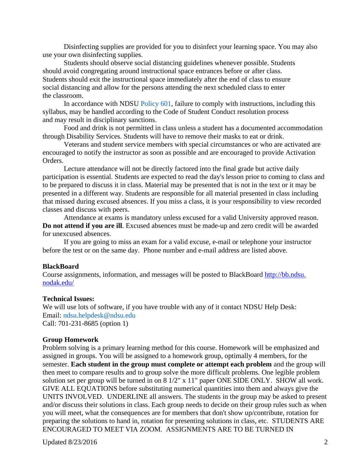Disinfecting supplies are provided for you to disinfect your learning space. You may also use your own disinfecting supplies.

Students should observe social distancing guidelines whenever possible. Students should avoid congregating around instructional space entrances before or after class. Students should exit the instructional space immediately after the end of class to ensure social distancing and allow for the persons attending the next scheduled class to enter the classroom.

In accordance with NDSU Policy 601, failure to comply with instructions, including this syllabus, may be handled according to the Code of Student Conduct resolution process and may result in disciplinary sanctions.

Food and drink is not permitted in class unless a student has a documented accommodation through Disability Services. Students will have to remove their masks to eat or drink.

Veterans and student service members with special circumstances or who are activated are encouraged to notify the instructor as soon as possible and are encouraged to provide Activation Orders.

Lecture attendance will not be directly factored into the final grade but active daily participation is essential. Students are expected to read the day's lesson prior to coming to class and to be prepared to discuss it in class. Material may be presented that is not in the text or it may be presented in a different way. Students are responsible for all material presented in class including that missed during excused absences. If you miss a class, it is your responsibility to view recorded classes and discuss with peers.

Attendance at exams is mandatory unless excused for a valid University approved reason. **Do not attend if you are ill**. Excused absences must be made-up and zero credit will be awarded for unexcused absences.

If you are going to miss an exam for a valid excuse, e-mail or telephone your instructor before the test or on the same day. Phone number and e-mail address are listed above.

### **BlackBoard**

Course assignments, information, and messages will be posted to BlackBoard [http://bb.ndsu.](http://bb.ndsu.nodak.edu/) [nodak.edu/](http://bb.ndsu.nodak.edu/)

#### **Technical Issues:**

We will use lots of software, if you have trouble with any of it contact NDSU Help Desk: Email: ndsu.helpdesk@ndsu.edu Call: 701-231-8685 (option 1)

### **Group Homework**

Problem solving is a primary learning method for this course. Homework will be emphasized and assigned in groups. You will be assigned to a homework group, optimally 4 members, for the semester. **Each student in the group must complete or attempt each problem** and the group will then meet to compare results and to group solve the more difficult problems. One legible problem solution set per group will be turned in on 8 1/2" x 11" paper ONE SIDE ONLY. SHOW all work. GIVE ALL EQUATIONS before substituting numerical quantities into them and always give the UNITS INVOLVED. UNDERLINE all answers. The students in the group may be asked to present and/or discuss their solutions in class. Each group needs to decide on their group rules such as when you will meet, what the consequences are for members that don't show up/contribute, rotation for preparing the solutions to hand in, rotation for presenting solutions in class, etc. STUDENTS ARE ENCOURAGED TO MEET VIA ZOOM. ASSIGNMENTS ARE TO BE TURNED IN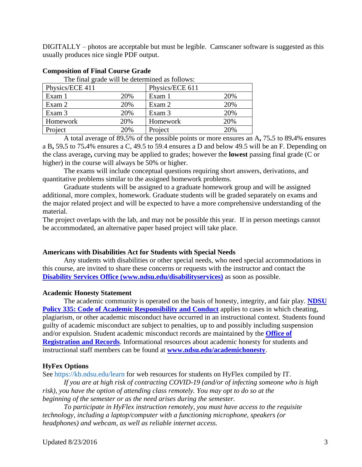DIGITALLY – photos are acceptable but must be legible. Camscaner software is suggested as this usually produces nice single PDF output.

| The final grade will be determined as follows: |     |                 |     |
|------------------------------------------------|-----|-----------------|-----|
| Physics/ECE 411                                |     | Physics/ECE 611 |     |
| Exam 1                                         | 20% | Exam 1          | 20% |
| Exam 2                                         | 20% | Exam 2          | 20% |
| Exam 3                                         | 20% | Exam 3          | 20% |
| Homework                                       | 20% | Homework        | 20% |
| Project                                        | 20% | Project         | 20% |

## **Composition of Final Course Grade**

A total average of 89**.**5% of the possible points or more ensures an A**,** 75**.**5 to 89**.**4% ensures a B**,** 59**.**5 to 75**.**4% ensures a C, 49.5 to 59.4 ensures a D and below 49.5 will be an F. Depending on the class average**,** curving may be applied to grades; however the **lowest** passing final grade (C or higher) in the course will always be 50% or higher.

The exams will include conceptual questions requiring short answers, derivations, and quantitative problems similar to the assigned homework problems.

Graduate students will be assigned to a graduate homework group and will be assigned additional, more complex, homework. Graduate students will be graded separately on exams and the major related project and will be expected to have a more comprehensive understanding of the material.

The project overlaps with the lab, and may not be possible this year. If in person meetings cannot be accommodated, an alternative paper based project will take place.

# **Americans with Disabilities Act for Students with Special Needs**

Any students with disabilities or other special needs, who need special accommodations in this course, are invited to share these concerns or requests with the instructor and contact the **[Disability Services Office \(www.ndsu.edu/disabilityservices\)](http://www.ndsu.edu/disabilityservices/)** as soon as possible.

# **Academic Honesty Statement**

The academic community is operated on the basis of honesty, integrity, and fair play. **[NDSU](http://www.ndsu.edu/fileadmin/policy/335.pdf)  [Policy 335: Code of Academic Responsibility and Conduct](http://www.ndsu.edu/fileadmin/policy/335.pdf)** applies to cases in which cheating, plagiarism, or other academic misconduct have occurred in an instructional context. Students found guilty of academic misconduct are subject to penalties, up to and possibly including suspension and/or expulsion. Student academic misconduct records are maintained by the **[Office of](http://www.ndsu.edu/registrar/)  [Registration and Records](http://www.ndsu.edu/registrar/)**. Informational resources about academic honesty for students and instructional staff members can be found at **[www.ndsu.edu/academichonesty](http://www.ndsu.edu/academichonesty)**.

# **HyFex Options**

See https://kb.ndsu.edu/learn for web resources for students on HyFlex compiled by IT.

*If you are at high risk of contracting COVID-19 (and/or of infecting someone who is high risk), you have the option of attending class remotely. You may opt to do so at the beginning of the semester or as the need arises during the semester.*

*To participate in HyFlex instruction remotely, you must have access to the requisite technology, including a laptop/computer with a functioning microphone, speakers (or headphones) and webcam, as well as reliable internet access.*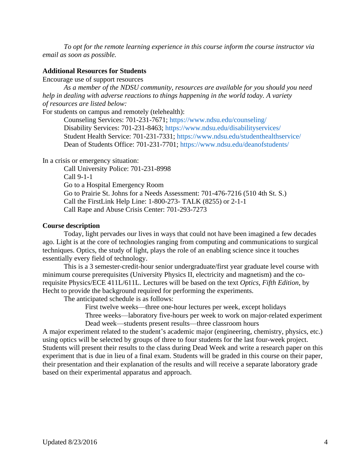*To opt for the remote learning experience in this course inform the course instructor via email as soon as possible.*

## **Additional Resources for Students**

Encourage use of support resources

*As a member of the NDSU community, resources are available for you should you need help in dealing with adverse reactions to things happening in the world today. A variety of resources are listed below:*

For students on campus and remotely (telehealth):

Counseling Services: 701-231-7671; https://www.ndsu.edu/counseling/ Disability Services: 701-231-8463; https://www.ndsu.edu/disabilityservices/ Student Health Service: 701-231-7331; https://www.ndsu.edu/studenthealthservice/ Dean of Students Office: 701-231-7701; https://www.ndsu.edu/deanofstudents/

In a crisis or emergency situation:

Call University Police: 701-231-8998 Call 9-1-1 Go to a Hospital Emergency Room Go to Prairie St. Johns for a Needs Assessment: 701-476-7216 (510 4th St. S.) Call the FirstLink Help Line: 1-800-273- TALK (8255) or 2-1-1 Call Rape and Abuse Crisis Center: 701-293-7273

#### **Course description**

Today, light pervades our lives in ways that could not have been imagined a few decades ago. Light is at the core of technologies ranging from computing and communications to surgical techniques. Optics, the study of light, plays the role of an enabling science since it touches essentially every field of technology.

This is a 3 semester-credit-hour senior undergraduate/first year graduate level course with minimum course prerequisites (University Physics II, electricity and magnetism) and the corequisite Physics/ECE 411L/611L. Lectures will be based on the text *Optics, Fifth Edition*, by Hecht to provide the background required for performing the experiments.

The anticipated schedule is as follows:

First twelve weeks—three one-hour lectures per week, except holidays

Three weeks—laboratory five-hours per week to work on major-related experiment Dead week—students present results—three classroom hours

A major experiment related to the student's academic major (engineering, chemistry, physics, etc.) using optics will be selected by groups of three to four students for the last four-week project. Students will present their results to the class during Dead Week and write a research paper on this experiment that is due in lieu of a final exam. Students will be graded in this course on their paper, their presentation and their explanation of the results and will receive a separate laboratory grade based on their experimental apparatus and approach.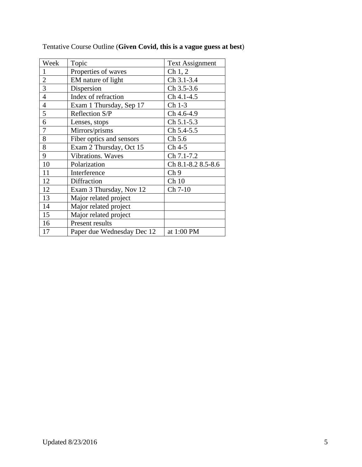| Week           | Topic                      | <b>Text Assignment</b> |
|----------------|----------------------------|------------------------|
| $\mathbf{1}$   | Properties of waves        | Ch 1, 2                |
| $\overline{2}$ | EM nature of light         | Ch 3.1-3.4             |
| $\overline{3}$ | Dispersion                 | Ch 3.5-3.6             |
| $\overline{4}$ | Index of refraction        | Ch 4.1-4.5             |
| $\overline{4}$ | Exam 1 Thursday, Sep 17    | Ch 1-3                 |
| 5              | Reflection S/P             | Ch 4.6-4.9             |
| 6              | Lenses, stops              | Ch 5.1-5.3             |
| $\overline{7}$ | Mirrors/prisms             | Ch 5.4-5.5             |
| 8              | Fiber optics and sensors   | Ch 5.6                 |
| 8              | Exam 2 Thursday, Oct 15    | Ch 4-5                 |
| 9              | Vibrations. Waves          | Ch 7.1-7.2             |
| 10             | Polarization               | Ch 8.1-8.2 8.5-8.6     |
| 11             | Interference               | Ch <sub>9</sub>        |
| 12             | Diffraction                | Ch10                   |
| 12             | Exam 3 Thursday, Nov 12    | Ch 7-10                |
| 13             | Major related project      |                        |
| 14             | Major related project      |                        |
| 15             | Major related project      |                        |
| 16             | Present results            |                        |
| 17             | Paper due Wednesday Dec 12 | at 1:00 PM             |

Tentative Course Outline (**Given Covid, this is a vague guess at best**)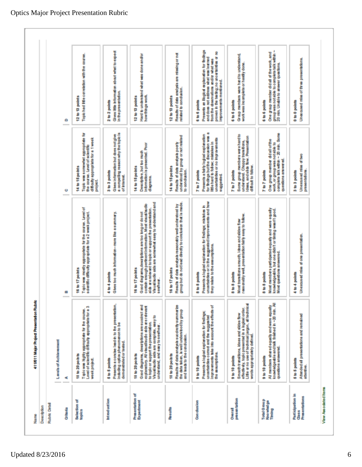| <b>Rubric Detail</b><br>Description                             |                                                                                                                                                                                                                                          |                                                                                                                                                                                                                                                              |                                                                                                                                                                                         |                                                                                                                                                                                                                            |
|-----------------------------------------------------------------|------------------------------------------------------------------------------------------------------------------------------------------------------------------------------------------------------------------------------------------|--------------------------------------------------------------------------------------------------------------------------------------------------------------------------------------------------------------------------------------------------------------|-----------------------------------------------------------------------------------------------------------------------------------------------------------------------------------------|----------------------------------------------------------------------------------------------------------------------------------------------------------------------------------------------------------------------------|
|                                                                 | <b>Lovels of Achievement</b>                                                                                                                                                                                                             |                                                                                                                                                                                                                                                              |                                                                                                                                                                                         |                                                                                                                                                                                                                            |
| <b>Criteria</b>                                                 | ⋖                                                                                                                                                                                                                                        | ω                                                                                                                                                                                                                                                            | ۰                                                                                                                                                                                       | ۰                                                                                                                                                                                                                          |
| Selection of<br>topics                                          | ø<br>Topic was highly appropriate for the course.<br>Level of scientific difficulty appropriate for a<br>18 to 20 points<br>week project.                                                                                                | Tapic was mostly appropriate for the course. Level of<br>scientific difficulty appropriate for a 2 week project.<br>16 to 17 points                                                                                                                          | Topic was somewhat appropriate for<br>the course, Lavel of scientific<br>difficulty appropriate for a 1 week<br>14 to 15 po hts<br>project                                              | Topic had little carrelation with the course.<br>12 to 13 points                                                                                                                                                           |
| Introduction                                                    | Presents a concise lead-in to the presentation.<br>including option phenomenon to be<br>demanstrated or tested.<br>5 to 5 points                                                                                                         | Gives too much information-more like a summary.<br>4 to 4 points                                                                                                                                                                                             | Gives information but does not give<br>a compelling reason why the topic is<br>of interest.<br>3 to 3 points                                                                            | Gives little information about what to expect<br>in the presentation.<br>2 to 2 points                                                                                                                                     |
| Presentation of<br><b>Expediment</b>                            | Good diagrams, deex plons are succinct and<br>explanatory. All visualisudo alds are relevant<br>Visual/audio alds are complete, easy to<br>to topic or support the presentation.<br>understand, and easy to see hear.<br>18 to 20 points | Visual/audio aids are somewhat easy to understand and<br>contain enough pertinent information. Most visual/audio<br>alds are relevant to topic or support the presentation.<br>Good dagrams, deex poons are too long or do not<br>16 to 17 points<br>seehea. | Information is presented. Poor<br>Descriptive, but too much<br>14 to 15 points<br>diagrams.                                                                                             | Hard to understand what was done and/or<br>how things work.<br>12 to 13 points                                                                                                                                             |
| <b>Results</b>                                                  | Results of data analysis succircity summarize<br>the data taken, is well understood by group<br>and leads to the candualon.<br>18 to 20 points                                                                                           | Results of deta analysis reasonably well understood by<br>group but do not lead directly to conclusion that is made<br>16 to 17 points                                                                                                                       | Results of data analysis poorly<br>understood by group or not related<br>14 to 15 points<br>to condusion.                                                                               | Results of data analysis are missing or not<br>related to conclusion.<br>12 to 13 points                                                                                                                                   |
| Com chusion                                                     | uncertaintée correct and the suggested<br>Improvements take into account the effects of<br>Presents a logical explanation for findings;<br>the assumptions.<br>9 to 10 points                                                            | Presents a logical explanation for findings; mistakes in<br>uncertainties or in the suggested improvements and how<br>they relate to the assumptions.<br>8 to 8 points                                                                                       | for findings but the discussion was a<br>Presents a fairly logical explanation<br>uncertainties or no improvements<br>little hard to follow; mistakes in<br>7 to 7 points<br>andaeapara | Presents an ilogical explanation for findings<br>proven in the testing; no uncertainties or no<br>and does not address what was learned<br>from the cheervalors and/or what was<br>mprovements mentioned.<br>6 to 6 points |
| presentation<br><b>Chercal</b>                                  | Little or no use of technical jargan, all technical<br>elfectively, topic presented in a logical order.<br>Smooth transitions, ideas and sildes flow<br>henthe visito propriation<br>9 to 10 points                                      | reasonably well, presentation fairly easy to follow.<br>Most transitions simpoth, losse and sides flow<br>8 to 8 points                                                                                                                                      | Some group members were hard to<br>understand. Choppy transitions,<br>Ideas, and stick flow. Presentation<br>difficult to fallow.<br>7 to 7 points                                      | Group members were hard to understand.<br>work was incomplete or hardly done.<br>6 to 6 points                                                                                                                             |
| Total Group<br><b>Knowledge</b><br>Thing                        | All members shared equally and were equally<br>knowledgeable and talk finished in ~20 min. All<br>questions answered.<br>9 to 10 points                                                                                                  | Most members perticipated equally and were equally<br>knowledgeable, but one didn't or timing wasn't good.<br>Most questions answered.<br>8 to 8 points                                                                                                      | complete talk within ~ 20 min. Some<br>One group member didall of the<br>work, or group was notable to<br>persons answered.<br>7 to 7 points                                            | ł<br>One group member didal af the work, and<br>group was not able to complete talk within<br>20 min. Unable to answer quastions.<br>6 to 6 points                                                                         |
| <b>Participation</b> in<br><b>Presentations</b><br><b>Class</b> | Attended all presentations and remained<br>5 to 5 points<br>attentive.                                                                                                                                                                   | Unexaused miss of one presented an-<br>4 to 4 points                                                                                                                                                                                                         | Unexcused miss of two<br>presentations.<br>3 to 3 points                                                                                                                                | Unexaused miss of three presentations.<br>0 to 0 points                                                                                                                                                                    |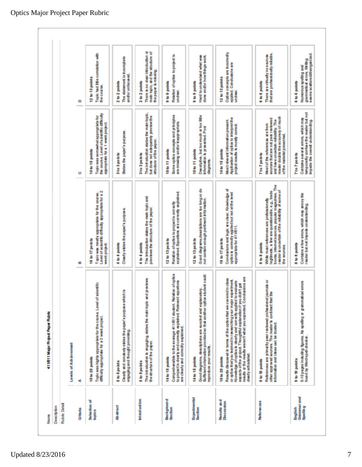| Name                                             | 411911 Major Project Paper Rubro                                                                                                                                                                                                                                                                                                                                                                    |                                                                                                                                                                                                                                     |                                                                                                                                                                                                       |                                                                                                                 |
|--------------------------------------------------|-----------------------------------------------------------------------------------------------------------------------------------------------------------------------------------------------------------------------------------------------------------------------------------------------------------------------------------------------------------------------------------------------------|-------------------------------------------------------------------------------------------------------------------------------------------------------------------------------------------------------------------------------------|-------------------------------------------------------------------------------------------------------------------------------------------------------------------------------------------------------|-----------------------------------------------------------------------------------------------------------------|
| Description                                      |                                                                                                                                                                                                                                                                                                                                                                                                     |                                                                                                                                                                                                                                     |                                                                                                                                                                                                       |                                                                                                                 |
| <b>Rubric Detail</b>                             |                                                                                                                                                                                                                                                                                                                                                                                                     |                                                                                                                                                                                                                                     |                                                                                                                                                                                                       |                                                                                                                 |
|                                                  | Levels of Achievement                                                                                                                                                                                                                                                                                                                                                                               |                                                                                                                                                                                                                                     |                                                                                                                                                                                                       |                                                                                                                 |
| <b>Critical</b>                                  | 4ť                                                                                                                                                                                                                                                                                                                                                                                                  | ⇔                                                                                                                                                                                                                                   | ۰                                                                                                                                                                                                     | ۰                                                                                                               |
| Selection of<br>topics                           | edentific<br>Topic was highly appropriate for the came. Level of<br>difficulty appropriate for a 3 week project.<br>18 to 20 points                                                                                                                                                                                                                                                                 | Topic was mostly appropriate for the course.<br>Level of scientific difficulty appropriate for a 2<br>16 to 17 po h ts<br>week project.                                                                                             | the course. Level of scientific difficulty<br>Topic was somewhat appropriate for<br>appropriate for a 1 week project.<br>14 to 15 points                                                              | Topic had little correlation with<br>12 to 13 points<br>the course.                                             |
| <b>Abstract</b>                                  | Clearly and conclusivy states the paper's purpose which is<br>engeging and thought providing.<br>5 to 5 po hts                                                                                                                                                                                                                                                                                      | Clearly states the paper's purpose.<br>4 to 4 points                                                                                                                                                                                | States the paper's purpose.<br>3to 3 points                                                                                                                                                           | The statement is incomplete<br>and/or unfocused.<br>2 to 2 points                                               |
| <b>Introduction</b>                              | The introduction is engaging, states the maintopic and previews<br>the structure of the paper.<br>5 to 5 points                                                                                                                                                                                                                                                                                     | The introduction states the main topic and<br>previews the structure of the paper.<br>4 to 4 point                                                                                                                                  | The introduction states the main topic,<br>but does not adaptablely preview the<br>structure of the paper.<br>3 to 3 points                                                                           | There is no clear introduction or<br>main topic, and the structure of<br>the paper is missing.<br>2 to 2 points |
| <b>Background</b><br>Section                     | Comprehensible to the average 411/611 student. Relation of option<br>to project is clearly and correctly explained. Relevant equations<br>are clearly and correctly explained.<br>14 to 15 points                                                                                                                                                                                                   | bertal persons area andsuperfective<br>Relation of optics to project is correctly<br>12 to 13 po h ts                                                                                                                               | Some optics concepts and principles<br>are missing and/or inappropriate.<br>10 to 11 points                                                                                                           | Relation of option to project is<br>9 to 9 points<br>undeer.                                                    |
| <b>Experimental</b><br><b>Saction</b>            | Good diagrams, descriptions are succinct and explanatory.<br>Sufficient information provided so that another option student could<br>allen include actpoder<br>14 to 15 points                                                                                                                                                                                                                      | Good diagrams,descriptions are too long or do<br>not contain enough pertinent information.<br>12 to 13 points                                                                                                                       | Descriptive, but too much ar too little<br>information is presented. Poor<br>10 to 11 points<br>diagrams.                                                                                             | Hard to understand what was<br>done and/or how things work.<br>s to 9 points                                    |
| <b>Results and</b><br>Discussion                 | results or the results weren't what you expected. Condisions are<br>Results discussed in terms of the optics that we covered in class<br>experiment.<br>stanlays of option what's cheatly and correctly applied to evaluate<br>dich't get<br>aspects of the project. Thoughtful explanation if you<br>or aptics thatyou learned in researching your major<br>dearly articulated.<br>18 to 20 points | Condusions and logic are clear. Knowledge of<br>optics is correctly applied but not at the level<br>approgriate for 411/611.<br>16 to 17 points                                                                                     | Application of optics to interpret the<br>project results is mostly correct.<br>Mostrelevant information present.<br>14 to 15 points                                                                  | Option cancepts are incomedy<br>applied. Candusions are<br>12 to 13 points<br>undear.                           |
| <b>Referances</b>                                | journals or<br>g<br>References are primarily peer reviewed professional<br>other approved sources. The reader is confident that<br>information and ideas can be trusted.<br>9 to 10 points                                                                                                                                                                                                          | legitmate, a few are questionable, e.g., trade<br>books, internet scurces, popular magazines. The<br>reader is uncertain of the reliability of some of<br>While mast references are professionally<br>8 to 8 points<br>the sources. | reader doubts the accuracy of much<br>sources that are not peer reviewed<br>and have uncertain relatility. The<br>Most of the references are from<br>of the material presented.<br><b>Tto Tpoints</b> | that are professionally reliable.<br>There are virtually no sources<br>6 to 6 points                            |
| <b>Grammar</b> and<br><b>Spelling</b><br>English | 5-10 pages Induding figures. No speling or grammatical emons<br>found by Words pell checker.<br>9 to 10 points                                                                                                                                                                                                                                                                                      | Contains a few errors, which may annoy the<br>reader but not impede understanding.<br>8 to 8 points                                                                                                                                 | Contains several errors, which may<br>temporarly confuse the reader but not<br>impede the overall understanding.<br>7 to 7 points                                                                     | seems scattered/disorganized.<br>grammatical errors. Viriting<br>Numerous speling and<br>6 to 6 points          |